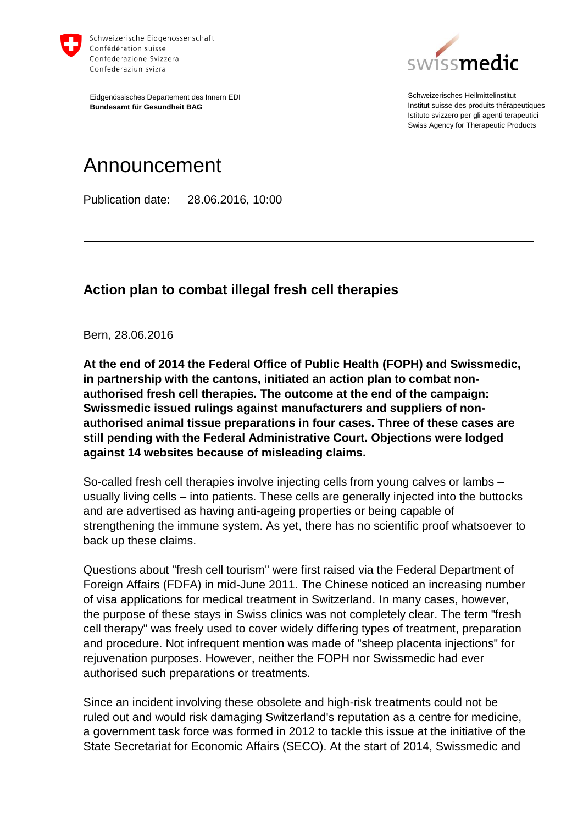

Eidgenössisches Departement des Innern EDI **Bundesamt für Gesundheit BAG**



Schweizerisches Heilmittelinstitut Institut suisse des produits thérapeutiques Istituto svizzero per gli agenti terapeutici Swiss Agency for Therapeutic Products

## Announcement

Publication date: 28.06.2016, 10:00

## **Action plan to combat illegal fresh cell therapies**

Bern, 28.06.2016

**At the end of 2014 the Federal Office of Public Health (FOPH) and Swissmedic, in partnership with the cantons, initiated an action plan to combat nonauthorised fresh cell therapies. The outcome at the end of the campaign: Swissmedic issued rulings against manufacturers and suppliers of nonauthorised animal tissue preparations in four cases. Three of these cases are still pending with the Federal Administrative Court. Objections were lodged against 14 websites because of misleading claims.**

So-called fresh cell therapies involve injecting cells from young calves or lambs – usually living cells – into patients. These cells are generally injected into the buttocks and are advertised as having anti-ageing properties or being capable of strengthening the immune system. As yet, there has no scientific proof whatsoever to back up these claims.

Questions about "fresh cell tourism" were first raised via the Federal Department of Foreign Affairs (FDFA) in mid-June 2011. The Chinese noticed an increasing number of visa applications for medical treatment in Switzerland. In many cases, however, the purpose of these stays in Swiss clinics was not completely clear. The term "fresh cell therapy" was freely used to cover widely differing types of treatment, preparation and procedure. Not infrequent mention was made of "sheep placenta injections" for rejuvenation purposes. However, neither the FOPH nor Swissmedic had ever authorised such preparations or treatments.

Since an incident involving these obsolete and high-risk treatments could not be ruled out and would risk damaging Switzerland's reputation as a centre for medicine, a government task force was formed in 2012 to tackle this issue at the initiative of the State Secretariat for Economic Affairs (SECO). At the start of 2014, Swissmedic and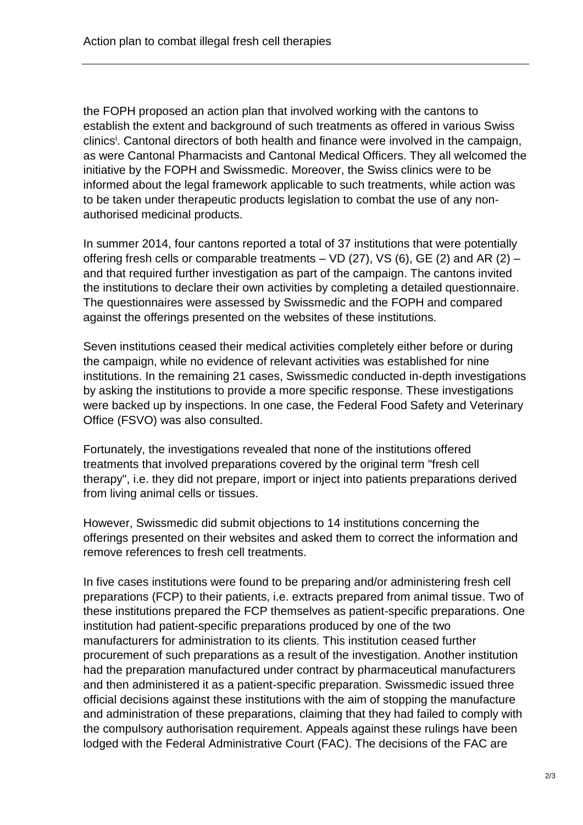the FOPH proposed an action plan that involved working with the cantons to establish the extent and background of such treatments as offered in various Swiss clinics<sup>i</sup>. Cantonal directors of both health and finance were involved in the campaign, as were Cantonal Pharmacists and Cantonal Medical Officers. They all welcomed the initiative by the FOPH and Swissmedic. Moreover, the Swiss clinics were to be informed about the legal framework applicable to such treatments, while action was to be taken under therapeutic products legislation to combat the use of any nonauthorised medicinal products.

In summer 2014, four cantons reported a total of 37 institutions that were potentially offering fresh cells or comparable treatments  $-$  VD (27), VS (6), GE (2) and AR (2)  $$ and that required further investigation as part of the campaign. The cantons invited the institutions to declare their own activities by completing a detailed questionnaire. The questionnaires were assessed by Swissmedic and the FOPH and compared against the offerings presented on the websites of these institutions.

Seven institutions ceased their medical activities completely either before or during the campaign, while no evidence of relevant activities was established for nine institutions. In the remaining 21 cases, Swissmedic conducted in-depth investigations by asking the institutions to provide a more specific response. These investigations were backed up by inspections. In one case, the Federal Food Safety and Veterinary Office (FSVO) was also consulted.

Fortunately, the investigations revealed that none of the institutions offered treatments that involved preparations covered by the original term "fresh cell therapy", i.e. they did not prepare, import or inject into patients preparations derived from living animal cells or tissues.

However, Swissmedic did submit objections to 14 institutions concerning the offerings presented on their websites and asked them to correct the information and remove references to fresh cell treatments.

In five cases institutions were found to be preparing and/or administering fresh cell preparations (FCP) to their patients, i.e. extracts prepared from animal tissue. Two of these institutions prepared the FCP themselves as patient-specific preparations. One institution had patient-specific preparations produced by one of the two manufacturers for administration to its clients. This institution ceased further procurement of such preparations as a result of the investigation. Another institution had the preparation manufactured under contract by pharmaceutical manufacturers and then administered it as a patient-specific preparation. Swissmedic issued three official decisions against these institutions with the aim of stopping the manufacture and administration of these preparations, claiming that they had failed to comply with the compulsory authorisation requirement. Appeals against these rulings have been lodged with the Federal Administrative Court (FAC). The decisions of the FAC are